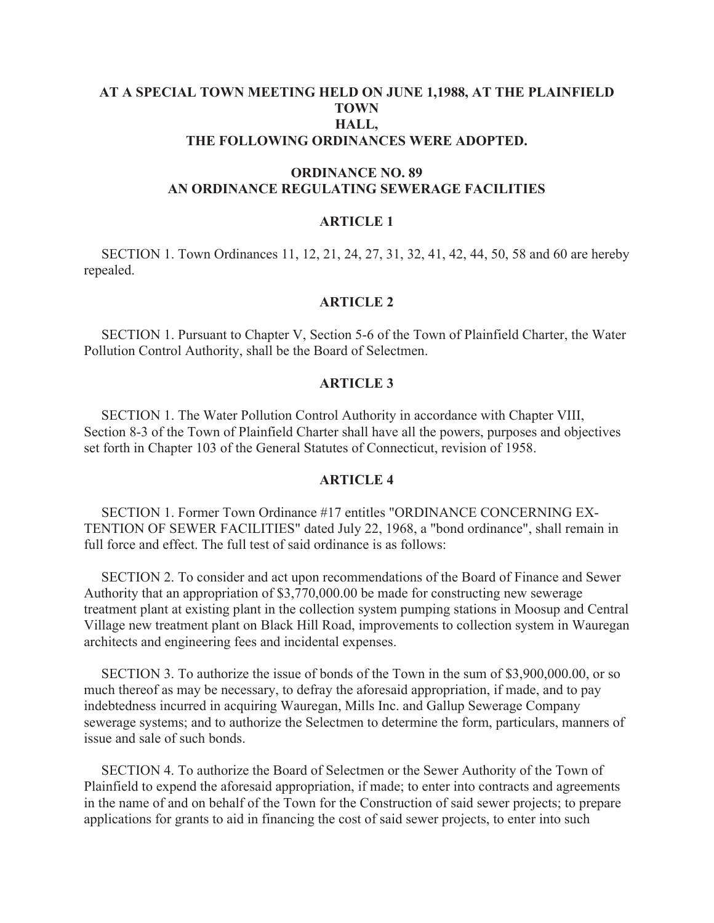## **AT A SPECIAL TOWN MEETING HELD ON JUNE 1,1988, AT THE PLAINFIELD TOWN HALL, THE FOLLOWING ORDINANCES WERE ADOPTED.**

# **ORDINANCE NO. 89 AN ORDINANCE REGULATING SEWERAGE FACILITIES**

### **ARTICLE 1**

 SECTION 1. Town Ordinances 11, 12, 21, 24, 27, 31, 32, 41, 42, 44, 50, 58 and 60 are hereby repealed.

# **ARTICLE 2**

 SECTION 1. Pursuant to Chapter V, Section 5-6 of the Town of Plainfield Charter, the Water Pollution Control Authority, shall be the Board of Selectmen.

## **ARTICLE 3**

 SECTION 1. The Water Pollution Control Authority in accordance with Chapter VIII, Section 8-3 of the Town of Plainfield Charter shall have all the powers, purposes and objectives set forth in Chapter 103 of the General Statutes of Connecticut, revision of 1958.

## **ARTICLE 4**

 SECTION 1. Former Town Ordinance #17 entitles "ORDINANCE CONCERNING EX-TENTION OF SEWER FACILITIES" dated July 22, 1968, a "bond ordinance", shall remain in full force and effect. The full test of said ordinance is as follows:

 SECTION 2. To consider and act upon recommendations of the Board of Finance and Sewer Authority that an appropriation of \$3,770,000.00 be made for constructing new sewerage treatment plant at existing plant in the collection system pumping stations in Moosup and Central Village new treatment plant on Black Hill Road, improvements to collection system in Wauregan architects and engineering fees and incidental expenses.

 SECTION 3. To authorize the issue of bonds of the Town in the sum of \$3,900,000.00, or so much thereof as may be necessary, to defray the aforesaid appropriation, if made, and to pay indebtedness incurred in acquiring Wauregan, Mills Inc. and Gallup Sewerage Company sewerage systems; and to authorize the Selectmen to determine the form, particulars, manners of issue and sale of such bonds.

 SECTION 4. To authorize the Board of Selectmen or the Sewer Authority of the Town of Plainfield to expend the aforesaid appropriation, if made; to enter into contracts and agreements in the name of and on behalf of the Town for the Construction of said sewer projects; to prepare applications for grants to aid in financing the cost of said sewer projects, to enter into such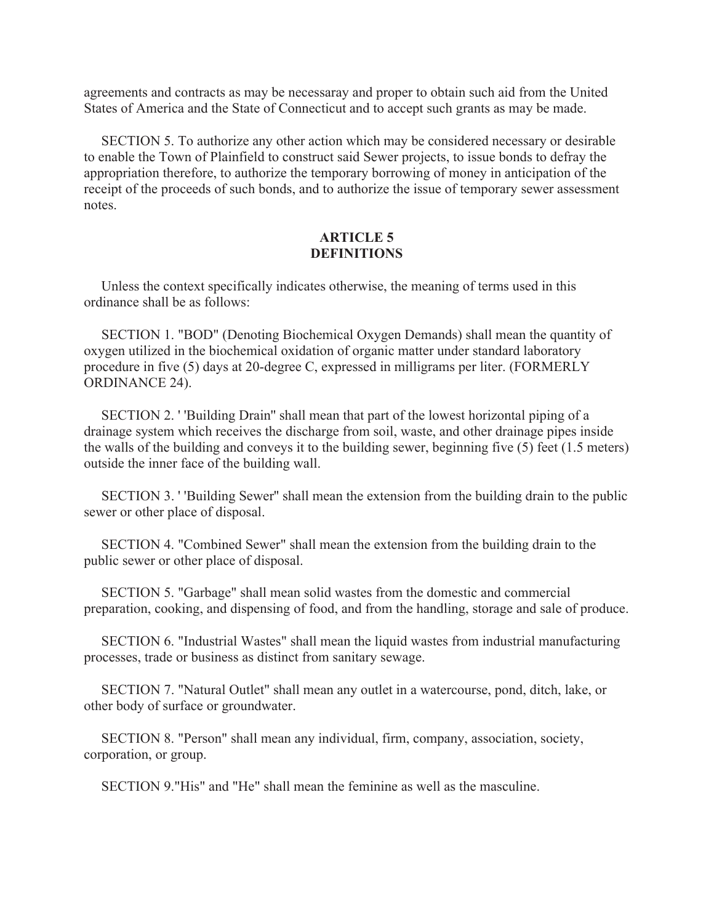agreements and contracts as may be necessaray and proper to obtain such aid from the United States of America and the State of Connecticut and to accept such grants as may be made.

 SECTION 5. To authorize any other action which may be considered necessary or desirable to enable the Town of Plainfield to construct said Sewer projects, to issue bonds to defray the appropriation therefore, to authorize the temporary borrowing of money in anticipation of the receipt of the proceeds of such bonds, and to authorize the issue of temporary sewer assessment notes.

# **ARTICLE 5 DEFINITIONS**

 Unless the context specifically indicates otherwise, the meaning of terms used in this ordinance shall be as follows:

 SECTION 1. "BOD" (Denoting Biochemical Oxygen Demands) shall mean the quantity of oxygen utilized in the biochemical oxidation of organic matter under standard laboratory procedure in five (5) days at 20-degree C, expressed in milligrams per liter. (FORMERLY ORDINANCE 24).

 SECTION 2. ' 'Building Drain'' shall mean that part of the lowest horizontal piping of a drainage system which receives the discharge from soil, waste, and other drainage pipes inside the walls of the building and conveys it to the building sewer, beginning five (5) feet (1.5 meters) outside the inner face of the building wall.

 SECTION 3. ' 'Building Sewer'' shall mean the extension from the building drain to the public sewer or other place of disposal.

 SECTION 4. "Combined Sewer" shall mean the extension from the building drain to the public sewer or other place of disposal.

 SECTION 5. "Garbage" shall mean solid wastes from the domestic and commercial preparation, cooking, and dispensing of food, and from the handling, storage and sale of produce.

 SECTION 6. "Industrial Wastes" shall mean the liquid wastes from industrial manufacturing processes, trade or business as distinct from sanitary sewage.

 SECTION 7. "Natural Outlet" shall mean any outlet in a watercourse, pond, ditch, lake, or other body of surface or groundwater.

 SECTION 8. "Person" shall mean any individual, firm, company, association, society, corporation, or group.

SECTION 9."His" and "He" shall mean the feminine as well as the masculine.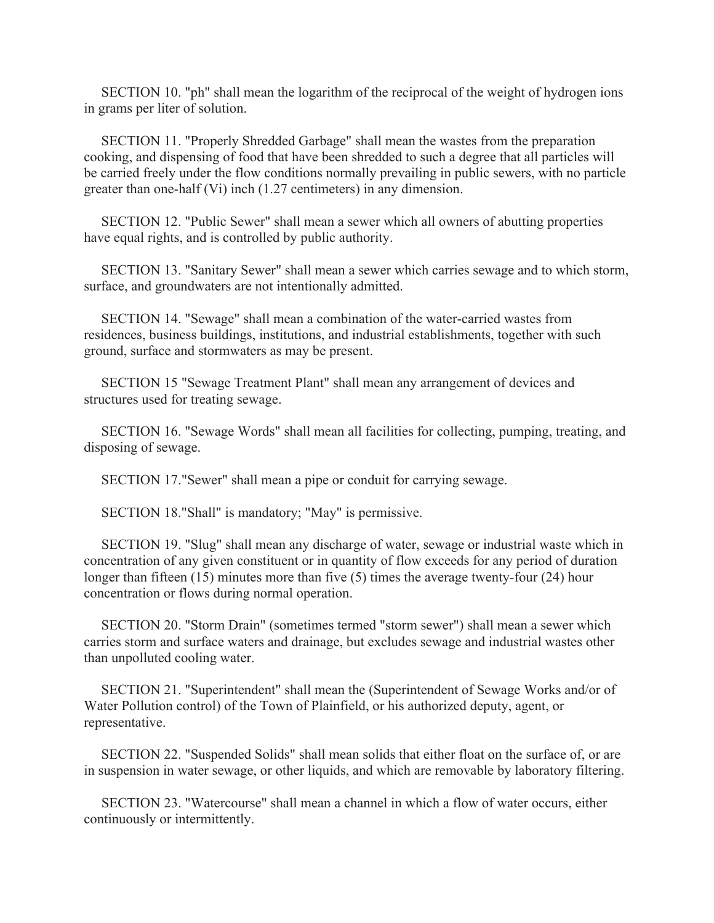SECTION 10. "ph" shall mean the logarithm of the reciprocal of the weight of hydrogen ions in grams per liter of solution.

 SECTION 11. "Properly Shredded Garbage" shall mean the wastes from the preparation cooking, and dispensing of food that have been shredded to such a degree that all particles will be carried freely under the flow conditions normally prevailing in public sewers, with no particle greater than one-half (Vi) inch (1.27 centimeters) in any dimension.

 SECTION 12. "Public Sewer" shall mean a sewer which all owners of abutting properties have equal rights, and is controlled by public authority.

 SECTION 13. "Sanitary Sewer" shall mean a sewer which carries sewage and to which storm, surface, and groundwaters are not intentionally admitted.

 SECTION 14. "Sewage" shall mean a combination of the water-carried wastes from residences, business buildings, institutions, and industrial establishments, together with such ground, surface and stormwaters as may be present.

 SECTION 15 "Sewage Treatment Plant" shall mean any arrangement of devices and structures used for treating sewage.

 SECTION 16. "Sewage Words" shall mean all facilities for collecting, pumping, treating, and disposing of sewage.

SECTION 17."Sewer" shall mean a pipe or conduit for carrying sewage.

SECTION 18."Shall" is mandatory; "May" is permissive.

 SECTION 19. "Slug" shall mean any discharge of water, sewage or industrial waste which in concentration of any given constituent or in quantity of flow exceeds for any period of duration longer than fifteen (15) minutes more than five (5) times the average twenty-four (24) hour concentration or flows during normal operation.

 SECTION 20. "Storm Drain" (sometimes termed "storm sewer") shall mean a sewer which carries storm and surface waters and drainage, but excludes sewage and industrial wastes other than unpolluted cooling water.

 SECTION 21. "Superintendent" shall mean the (Superintendent of Sewage Works and/or of Water Pollution control) of the Town of Plainfield, or his authorized deputy, agent, or representative.

 SECTION 22. "Suspended Solids" shall mean solids that either float on the surface of, or are in suspension in water sewage, or other liquids, and which are removable by laboratory filtering.

 SECTION 23. "Watercourse" shall mean a channel in which a flow of water occurs, either continuously or intermittently.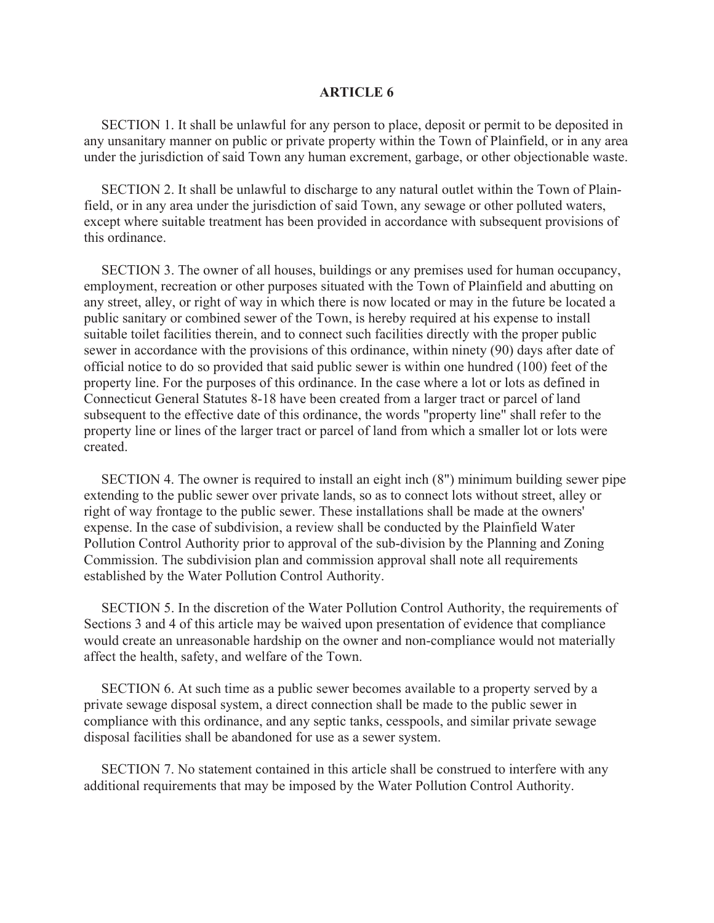#### **ARTICLE 6**

 SECTION 1. It shall be unlawful for any person to place, deposit or permit to be deposited in any unsanitary manner on public or private property within the Town of Plainfield, or in any area under the jurisdiction of said Town any human excrement, garbage, or other objectionable waste.

 SECTION 2. It shall be unlawful to discharge to any natural outlet within the Town of Plainfield, or in any area under the jurisdiction of said Town, any sewage or other polluted waters, except where suitable treatment has been provided in accordance with subsequent provisions of this ordinance.

 SECTION 3. The owner of all houses, buildings or any premises used for human occupancy, employment, recreation or other purposes situated with the Town of Plainfield and abutting on any street, alley, or right of way in which there is now located or may in the future be located a public sanitary or combined sewer of the Town, is hereby required at his expense to install suitable toilet facilities therein, and to connect such facilities directly with the proper public sewer in accordance with the provisions of this ordinance, within ninety (90) days after date of official notice to do so provided that said public sewer is within one hundred (100) feet of the property line. For the purposes of this ordinance. In the case where a lot or lots as defined in Connecticut General Statutes 8-18 have been created from a larger tract or parcel of land subsequent to the effective date of this ordinance, the words "property line" shall refer to the property line or lines of the larger tract or parcel of land from which a smaller lot or lots were created.

 SECTION 4. The owner is required to install an eight inch (8") minimum building sewer pipe extending to the public sewer over private lands, so as to connect lots without street, alley or right of way frontage to the public sewer. These installations shall be made at the owners' expense. In the case of subdivision, a review shall be conducted by the Plainfield Water Pollution Control Authority prior to approval of the sub-division by the Planning and Zoning Commission. The subdivision plan and commission approval shall note all requirements established by the Water Pollution Control Authority.

 SECTION 5. In the discretion of the Water Pollution Control Authority, the requirements of Sections 3 and 4 of this article may be waived upon presentation of evidence that compliance would create an unreasonable hardship on the owner and non-compliance would not materially affect the health, safety, and welfare of the Town.

 SECTION 6. At such time as a public sewer becomes available to a property served by a private sewage disposal system, a direct connection shall be made to the public sewer in compliance with this ordinance, and any septic tanks, cesspools, and similar private sewage disposal facilities shall be abandoned for use as a sewer system.

 SECTION 7. No statement contained in this article shall be construed to interfere with any additional requirements that may be imposed by the Water Pollution Control Authority.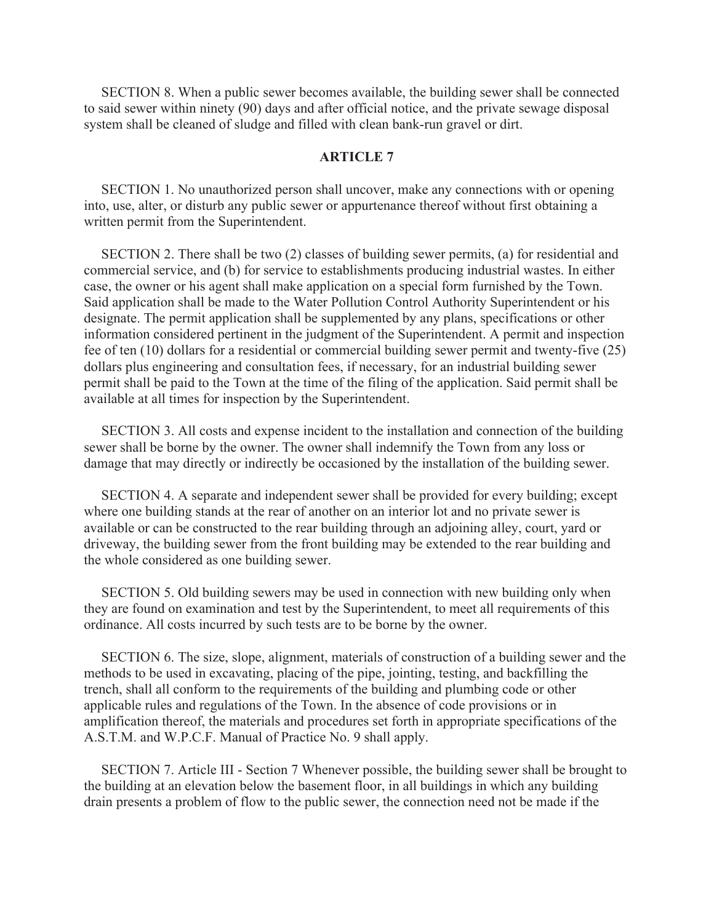SECTION 8. When a public sewer becomes available, the building sewer shall be connected to said sewer within ninety (90) days and after official notice, and the private sewage disposal system shall be cleaned of sludge and filled with clean bank-run gravel or dirt.

## **ARTICLE 7**

 SECTION 1. No unauthorized person shall uncover, make any connections with or opening into, use, alter, or disturb any public sewer or appurtenance thereof without first obtaining a written permit from the Superintendent.

 SECTION 2. There shall be two (2) classes of building sewer permits, (a) for residential and commercial service, and (b) for service to establishments producing industrial wastes. In either case, the owner or his agent shall make application on a special form furnished by the Town. Said application shall be made to the Water Pollution Control Authority Superintendent or his designate. The permit application shall be supplemented by any plans, specifications or other information considered pertinent in the judgment of the Superintendent. A permit and inspection fee of ten (10) dollars for a residential or commercial building sewer permit and twenty-five (25) dollars plus engineering and consultation fees, if necessary, for an industrial building sewer permit shall be paid to the Town at the time of the filing of the application. Said permit shall be available at all times for inspection by the Superintendent.

 SECTION 3. All costs and expense incident to the installation and connection of the building sewer shall be borne by the owner. The owner shall indemnify the Town from any loss or damage that may directly or indirectly be occasioned by the installation of the building sewer.

 SECTION 4. A separate and independent sewer shall be provided for every building; except where one building stands at the rear of another on an interior lot and no private sewer is available or can be constructed to the rear building through an adjoining alley, court, yard or driveway, the building sewer from the front building may be extended to the rear building and the whole considered as one building sewer.

 SECTION 5. Old building sewers may be used in connection with new building only when they are found on examination and test by the Superintendent, to meet all requirements of this ordinance. All costs incurred by such tests are to be borne by the owner.

 SECTION 6. The size, slope, alignment, materials of construction of a building sewer and the methods to be used in excavating, placing of the pipe, jointing, testing, and backfilling the trench, shall all conform to the requirements of the building and plumbing code or other applicable rules and regulations of the Town. In the absence of code provisions or in amplification thereof, the materials and procedures set forth in appropriate specifications of the A.S.T.M. and W.P.C.F. Manual of Practice No. 9 shall apply.

 SECTION 7. Article III - Section 7 Whenever possible, the building sewer shall be brought to the building at an elevation below the basement floor, in all buildings in which any building drain presents a problem of flow to the public sewer, the connection need not be made if the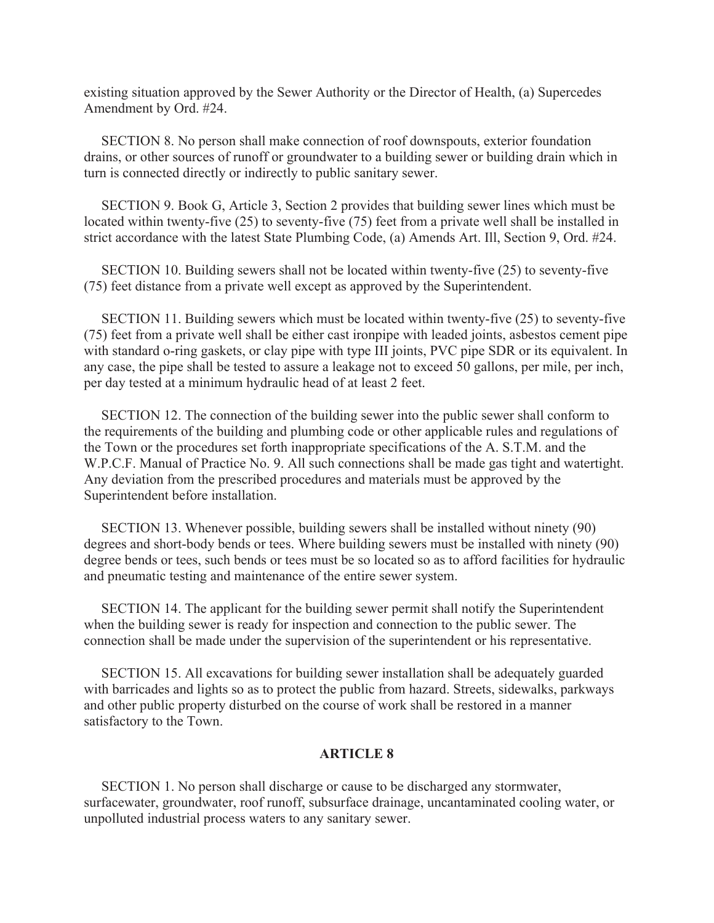existing situation approved by the Sewer Authority or the Director of Health, (a) Supercedes Amendment by Ord. #24.

 SECTION 8. No person shall make connection of roof downspouts, exterior foundation drains, or other sources of runoff or groundwater to a building sewer or building drain which in turn is connected directly or indirectly to public sanitary sewer.

 SECTION 9. Book G, Article 3, Section 2 provides that building sewer lines which must be located within twenty-five (25) to seventy-five (75) feet from a private well shall be installed in strict accordance with the latest State Plumbing Code, (a) Amends Art. Ill, Section 9, Ord. #24.

 SECTION 10. Building sewers shall not be located within twenty-five (25) to seventy-five (75) feet distance from a private well except as approved by the Superintendent.

 SECTION 11. Building sewers which must be located within twenty-five (25) to seventy-five (75) feet from a private well shall be either cast ironpipe with leaded joints, asbestos cement pipe with standard o-ring gaskets, or clay pipe with type III joints, PVC pipe SDR or its equivalent. In any case, the pipe shall be tested to assure a leakage not to exceed 50 gallons, per mile, per inch, per day tested at a minimum hydraulic head of at least 2 feet.

 SECTION 12. The connection of the building sewer into the public sewer shall conform to the requirements of the building and plumbing code or other applicable rules and regulations of the Town or the procedures set forth inappropriate specifications of the A. S.T.M. and the W.P.C.F. Manual of Practice No. 9. All such connections shall be made gas tight and watertight. Any deviation from the prescribed procedures and materials must be approved by the Superintendent before installation.

 SECTION 13. Whenever possible, building sewers shall be installed without ninety (90) degrees and short-body bends or tees. Where building sewers must be installed with ninety (90) degree bends or tees, such bends or tees must be so located so as to afford facilities for hydraulic and pneumatic testing and maintenance of the entire sewer system.

 SECTION 14. The applicant for the building sewer permit shall notify the Superintendent when the building sewer is ready for inspection and connection to the public sewer. The connection shall be made under the supervision of the superintendent or his representative.

 SECTION 15. All excavations for building sewer installation shall be adequately guarded with barricades and lights so as to protect the public from hazard. Streets, sidewalks, parkways and other public property disturbed on the course of work shall be restored in a manner satisfactory to the Town.

#### **ARTICLE 8**

 SECTION 1. No person shall discharge or cause to be discharged any stormwater, surfacewater, groundwater, roof runoff, subsurface drainage, uncantaminated cooling water, or unpolluted industrial process waters to any sanitary sewer.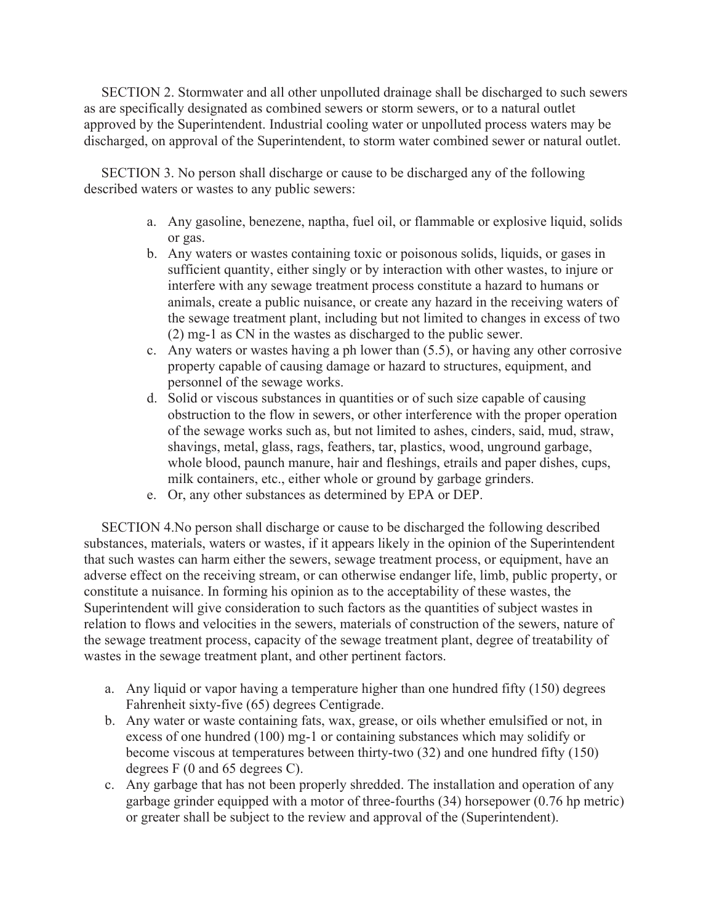SECTION 2. Stormwater and all other unpolluted drainage shall be discharged to such sewers as are specifically designated as combined sewers or storm sewers, or to a natural outlet approved by the Superintendent. Industrial cooling water or unpolluted process waters may be discharged, on approval of the Superintendent, to storm water combined sewer or natural outlet.

 SECTION 3. No person shall discharge or cause to be discharged any of the following described waters or wastes to any public sewers:

- a. Any gasoline, benezene, naptha, fuel oil, or flammable or explosive liquid, solids or gas.
- b. Any waters or wastes containing toxic or poisonous solids, liquids, or gases in sufficient quantity, either singly or by interaction with other wastes, to injure or interfere with any sewage treatment process constitute a hazard to humans or animals, create a public nuisance, or create any hazard in the receiving waters of the sewage treatment plant, including but not limited to changes in excess of two (2) mg-1 as CN in the wastes as discharged to the public sewer.
- c. Any waters or wastes having a ph lower than (5.5), or having any other corrosive property capable of causing damage or hazard to structures, equipment, and personnel of the sewage works.
- d. Solid or viscous substances in quantities or of such size capable of causing obstruction to the flow in sewers, or other interference with the proper operation of the sewage works such as, but not limited to ashes, cinders, said, mud, straw, shavings, metal, glass, rags, feathers, tar, plastics, wood, unground garbage, whole blood, paunch manure, hair and fleshings, etrails and paper dishes, cups, milk containers, etc., either whole or ground by garbage grinders.
- e. Or, any other substances as determined by EPA or DEP.

 SECTION 4.No person shall discharge or cause to be discharged the following described substances, materials, waters or wastes, if it appears likely in the opinion of the Superintendent that such wastes can harm either the sewers, sewage treatment process, or equipment, have an adverse effect on the receiving stream, or can otherwise endanger life, limb, public property, or constitute a nuisance. In forming his opinion as to the acceptability of these wastes, the Superintendent will give consideration to such factors as the quantities of subject wastes in relation to flows and velocities in the sewers, materials of construction of the sewers, nature of the sewage treatment process, capacity of the sewage treatment plant, degree of treatability of wastes in the sewage treatment plant, and other pertinent factors.

- a. Any liquid or vapor having a temperature higher than one hundred fifty (150) degrees Fahrenheit sixty-five (65) degrees Centigrade.
- b. Any water or waste containing fats, wax, grease, or oils whether emulsified or not, in excess of one hundred (100) mg-1 or containing substances which may solidify or become viscous at temperatures between thirty-two (32) and one hundred fifty (150) degrees F (0 and 65 degrees C).
- c. Any garbage that has not been properly shredded. The installation and operation of any garbage grinder equipped with a motor of three-fourths (34) horsepower (0.76 hp metric) or greater shall be subject to the review and approval of the (Superintendent).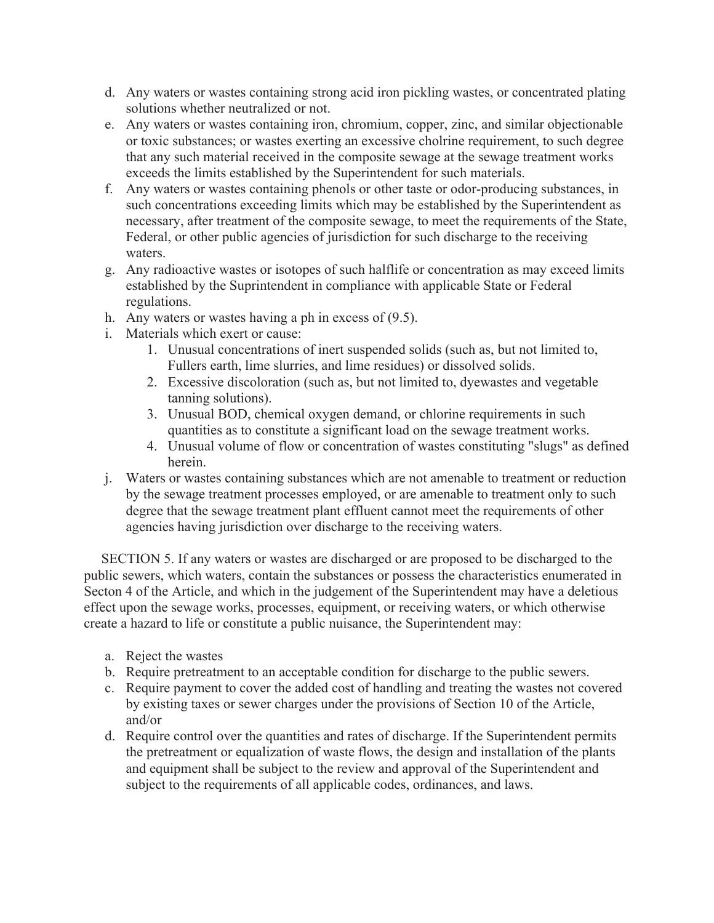- d. Any waters or wastes containing strong acid iron pickling wastes, or concentrated plating solutions whether neutralized or not.
- e. Any waters or wastes containing iron, chromium, copper, zinc, and similar objectionable or toxic substances; or wastes exerting an excessive cholrine requirement, to such degree that any such material received in the composite sewage at the sewage treatment works exceeds the limits established by the Superintendent for such materials.
- f. Any waters or wastes containing phenols or other taste or odor-producing substances, in such concentrations exceeding limits which may be established by the Superintendent as necessary, after treatment of the composite sewage, to meet the requirements of the State, Federal, or other public agencies of jurisdiction for such discharge to the receiving waters.
- g. Any radioactive wastes or isotopes of such halflife or concentration as may exceed limits established by the Suprintendent in compliance with applicable State or Federal regulations.
- h. Any waters or wastes having a ph in excess of (9.5).
- i. Materials which exert or cause:
	- 1. Unusual concentrations of inert suspended solids (such as, but not limited to, Fullers earth, lime slurries, and lime residues) or dissolved solids.
	- 2. Excessive discoloration (such as, but not limited to, dyewastes and vegetable tanning solutions).
	- 3. Unusual BOD, chemical oxygen demand, or chlorine requirements in such quantities as to constitute a significant load on the sewage treatment works.
	- 4. Unusual volume of flow or concentration of wastes constituting "slugs" as defined herein.
- j. Waters or wastes containing substances which are not amenable to treatment or reduction by the sewage treatment processes employed, or are amenable to treatment only to such degree that the sewage treatment plant effluent cannot meet the requirements of other agencies having jurisdiction over discharge to the receiving waters.

 SECTION 5. If any waters or wastes are discharged or are proposed to be discharged to the public sewers, which waters, contain the substances or possess the characteristics enumerated in Secton 4 of the Article, and which in the judgement of the Superintendent may have a deletious effect upon the sewage works, processes, equipment, or receiving waters, or which otherwise create a hazard to life or constitute a public nuisance, the Superintendent may:

- a. Reject the wastes
- b. Require pretreatment to an acceptable condition for discharge to the public sewers.
- c. Require payment to cover the added cost of handling and treating the wastes not covered by existing taxes or sewer charges under the provisions of Section 10 of the Article, and/or
- d. Require control over the quantities and rates of discharge. If the Superintendent permits the pretreatment or equalization of waste flows, the design and installation of the plants and equipment shall be subject to the review and approval of the Superintendent and subject to the requirements of all applicable codes, ordinances, and laws.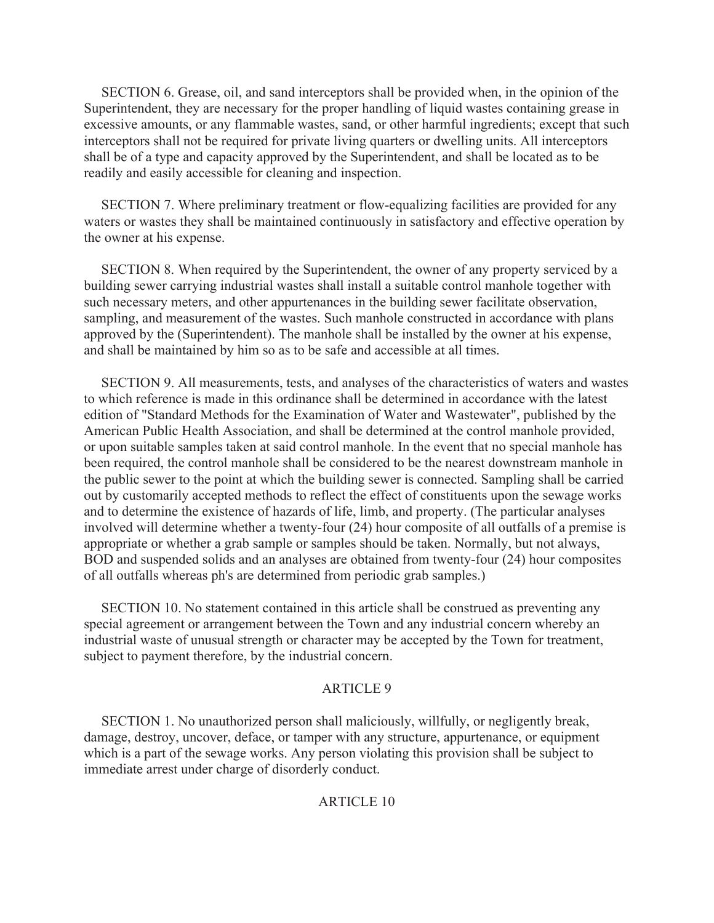SECTION 6. Grease, oil, and sand interceptors shall be provided when, in the opinion of the Superintendent, they are necessary for the proper handling of liquid wastes containing grease in excessive amounts, or any flammable wastes, sand, or other harmful ingredients; except that such interceptors shall not be required for private living quarters or dwelling units. All interceptors shall be of a type and capacity approved by the Superintendent, and shall be located as to be readily and easily accessible for cleaning and inspection.

 SECTION 7. Where preliminary treatment or flow-equalizing facilities are provided for any waters or wastes they shall be maintained continuously in satisfactory and effective operation by the owner at his expense.

 SECTION 8. When required by the Superintendent, the owner of any property serviced by a building sewer carrying industrial wastes shall install a suitable control manhole together with such necessary meters, and other appurtenances in the building sewer facilitate observation, sampling, and measurement of the wastes. Such manhole constructed in accordance with plans approved by the (Superintendent). The manhole shall be installed by the owner at his expense, and shall be maintained by him so as to be safe and accessible at all times.

 SECTION 9. All measurements, tests, and analyses of the characteristics of waters and wastes to which reference is made in this ordinance shall be determined in accordance with the latest edition of "Standard Methods for the Examination of Water and Wastewater", published by the American Public Health Association, and shall be determined at the control manhole provided, or upon suitable samples taken at said control manhole. In the event that no special manhole has been required, the control manhole shall be considered to be the nearest downstream manhole in the public sewer to the point at which the building sewer is connected. Sampling shall be carried out by customarily accepted methods to reflect the effect of constituents upon the sewage works and to determine the existence of hazards of life, limb, and property. (The particular analyses involved will determine whether a twenty-four (24) hour composite of all outfalls of a premise is appropriate or whether a grab sample or samples should be taken. Normally, but not always, BOD and suspended solids and an analyses are obtained from twenty-four (24) hour composites of all outfalls whereas ph's are determined from periodic grab samples.)

 SECTION 10. No statement contained in this article shall be construed as preventing any special agreement or arrangement between the Town and any industrial concern whereby an industrial waste of unusual strength or character may be accepted by the Town for treatment, subject to payment therefore, by the industrial concern.

## ARTICLE 9

 SECTION 1. No unauthorized person shall maliciously, willfully, or negligently break, damage, destroy, uncover, deface, or tamper with any structure, appurtenance, or equipment which is a part of the sewage works. Any person violating this provision shall be subject to immediate arrest under charge of disorderly conduct.

# ARTICLE 10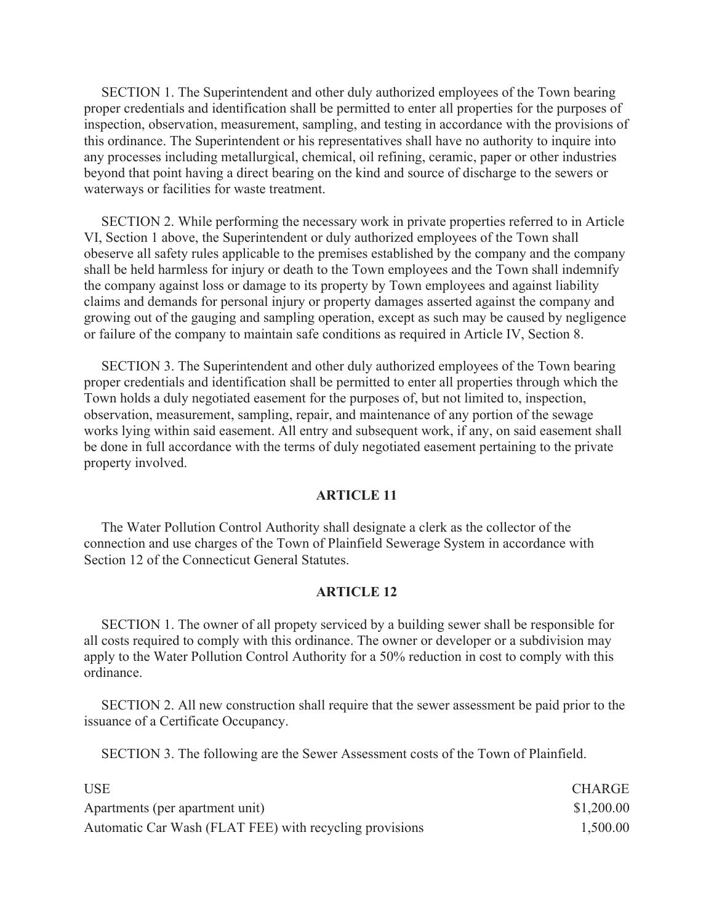SECTION 1. The Superintendent and other duly authorized employees of the Town bearing proper credentials and identification shall be permitted to enter all properties for the purposes of inspection, observation, measurement, sampling, and testing in accordance with the provisions of this ordinance. The Superintendent or his representatives shall have no authority to inquire into any processes including metallurgical, chemical, oil refining, ceramic, paper or other industries beyond that point having a direct bearing on the kind and source of discharge to the sewers or waterways or facilities for waste treatment.

 SECTION 2. While performing the necessary work in private properties referred to in Article VI, Section 1 above, the Superintendent or duly authorized employees of the Town shall obeserve all safety rules applicable to the premises established by the company and the company shall be held harmless for injury or death to the Town employees and the Town shall indemnify the company against loss or damage to its property by Town employees and against liability claims and demands for personal injury or property damages asserted against the company and growing out of the gauging and sampling operation, except as such may be caused by negligence or failure of the company to maintain safe conditions as required in Article IV, Section 8.

 SECTION 3. The Superintendent and other duly authorized employees of the Town bearing proper credentials and identification shall be permitted to enter all properties through which the Town holds a duly negotiated easement for the purposes of, but not limited to, inspection, observation, measurement, sampling, repair, and maintenance of any portion of the sewage works lying within said easement. All entry and subsequent work, if any, on said easement shall be done in full accordance with the terms of duly negotiated easement pertaining to the private property involved.

## **ARTICLE 11**

 The Water Pollution Control Authority shall designate a clerk as the collector of the connection and use charges of the Town of Plainfield Sewerage System in accordance with Section 12 of the Connecticut General Statutes.

## **ARTICLE 12**

 SECTION 1. The owner of all propety serviced by a building sewer shall be responsible for all costs required to comply with this ordinance. The owner or developer or a subdivision may apply to the Water Pollution Control Authority for a 50% reduction in cost to comply with this ordinance.

 SECTION 2. All new construction shall require that the sewer assessment be paid prior to the issuance of a Certificate Occupancy.

SECTION 3. The following are the Sewer Assessment costs of the Town of Plainfield.

| <b>USE</b>                                              | <b>CHARGE</b> |
|---------------------------------------------------------|---------------|
| Apartments (per apartment unit)                         | \$1,200.00    |
| Automatic Car Wash (FLAT FEE) with recycling provisions | 1,500.00      |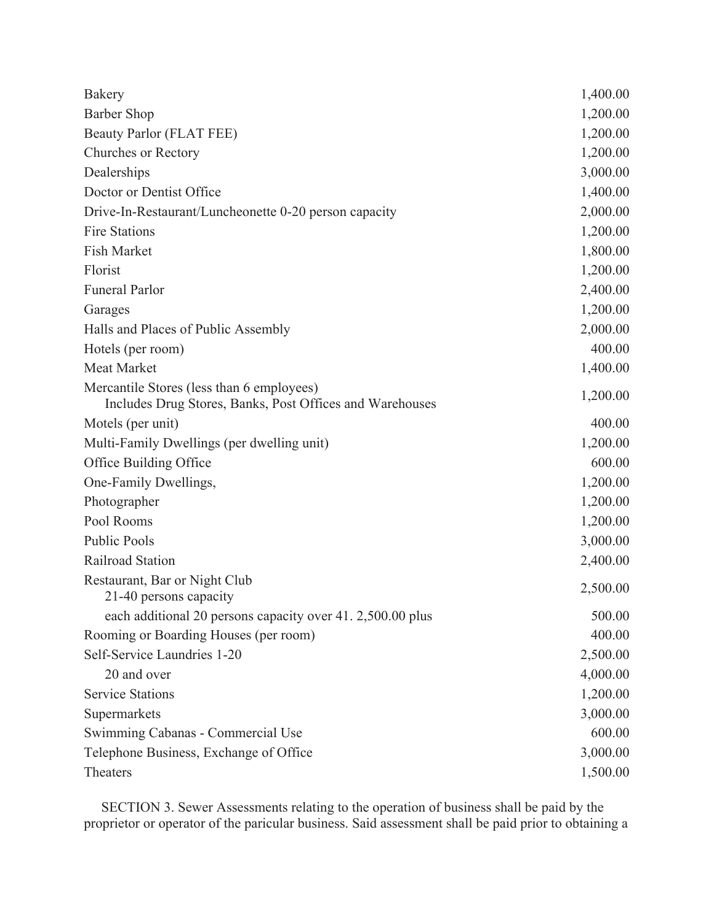| Bakery                                                                                                | 1,400.00 |
|-------------------------------------------------------------------------------------------------------|----------|
| <b>Barber Shop</b>                                                                                    | 1,200.00 |
| Beauty Parlor (FLAT FEE)                                                                              | 1,200.00 |
| <b>Churches or Rectory</b>                                                                            | 1,200.00 |
| Dealerships                                                                                           | 3,000.00 |
| Doctor or Dentist Office                                                                              | 1,400.00 |
| Drive-In-Restaurant/Luncheonette 0-20 person capacity                                                 | 2,000.00 |
| <b>Fire Stations</b>                                                                                  | 1,200.00 |
| <b>Fish Market</b>                                                                                    | 1,800.00 |
| Florist                                                                                               | 1,200.00 |
| <b>Funeral Parlor</b>                                                                                 | 2,400.00 |
| Garages                                                                                               | 1,200.00 |
| Halls and Places of Public Assembly                                                                   | 2,000.00 |
| Hotels (per room)                                                                                     | 400.00   |
| <b>Meat Market</b>                                                                                    | 1,400.00 |
| Mercantile Stores (less than 6 employees)<br>Includes Drug Stores, Banks, Post Offices and Warehouses | 1,200.00 |
| Motels (per unit)                                                                                     | 400.00   |
| Multi-Family Dwellings (per dwelling unit)                                                            | 1,200.00 |
| Office Building Office                                                                                | 600.00   |
| One-Family Dwellings,                                                                                 | 1,200.00 |
| Photographer                                                                                          | 1,200.00 |
| Pool Rooms                                                                                            | 1,200.00 |
| <b>Public Pools</b>                                                                                   | 3,000.00 |
| Railroad Station                                                                                      | 2,400.00 |
| Restaurant, Bar or Night Club<br>21-40 persons capacity                                               | 2,500.00 |
| each additional 20 persons capacity over 41. 2,500.00 plus                                            | 500.00   |
| Rooming or Boarding Houses (per room)                                                                 | 400.00   |
| Self-Service Laundries 1-20                                                                           | 2,500.00 |
| 20 and over                                                                                           | 4,000.00 |
| <b>Service Stations</b>                                                                               | 1,200.00 |
| Supermarkets                                                                                          | 3,000.00 |
| Swimming Cabanas - Commercial Use                                                                     | 600.00   |
| Telephone Business, Exchange of Office                                                                | 3,000.00 |
| Theaters                                                                                              | 1,500.00 |

 SECTION 3. Sewer Assessments relating to the operation of business shall be paid by the proprietor or operator of the paricular business. Said assessment shall be paid prior to obtaining a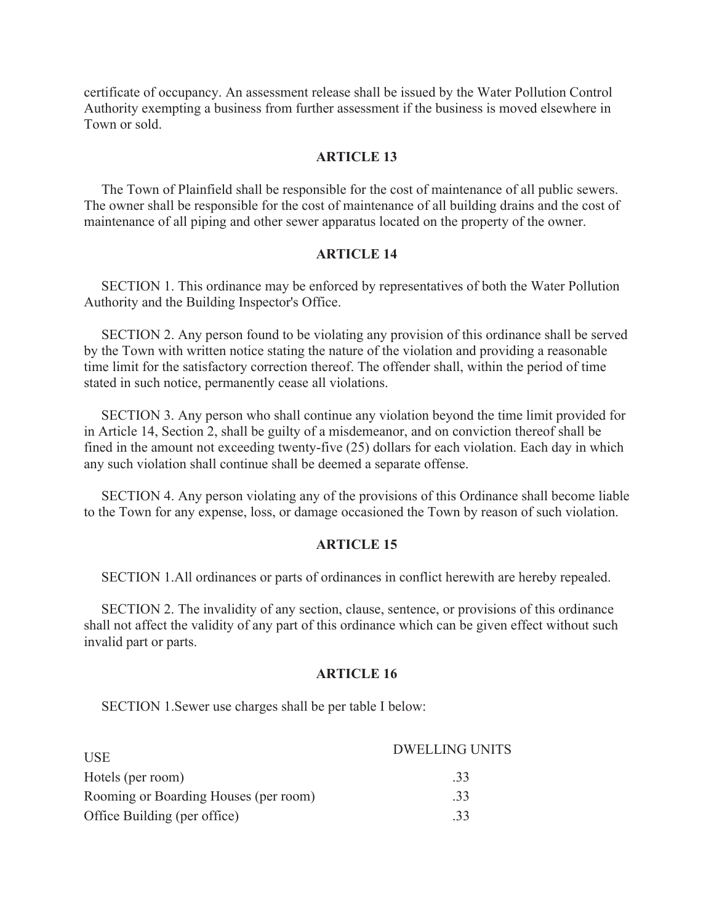certificate of occupancy. An assessment release shall be issued by the Water Pollution Control Authority exempting a business from further assessment if the business is moved elsewhere in Town or sold.

#### **ARTICLE 13**

 The Town of Plainfield shall be responsible for the cost of maintenance of all public sewers. The owner shall be responsible for the cost of maintenance of all building drains and the cost of maintenance of all piping and other sewer apparatus located on the property of the owner.

### **ARTICLE 14**

 SECTION 1. This ordinance may be enforced by representatives of both the Water Pollution Authority and the Building Inspector's Office.

 SECTION 2. Any person found to be violating any provision of this ordinance shall be served by the Town with written notice stating the nature of the violation and providing a reasonable time limit for the satisfactory correction thereof. The offender shall, within the period of time stated in such notice, permanently cease all violations.

 SECTION 3. Any person who shall continue any violation beyond the time limit provided for in Article 14, Section 2, shall be guilty of a misdemeanor, and on conviction thereof shall be fined in the amount not exceeding twenty-five (25) dollars for each violation. Each day in which any such violation shall continue shall be deemed a separate offense.

 SECTION 4. Any person violating any of the provisions of this Ordinance shall become liable to the Town for any expense, loss, or damage occasioned the Town by reason of such violation.

### **ARTICLE 15**

SECTION 1.All ordinances or parts of ordinances in conflict herewith are hereby repealed.

 SECTION 2. The invalidity of any section, clause, sentence, or provisions of this ordinance shall not affect the validity of any part of this ordinance which can be given effect without such invalid part or parts.

### **ARTICLE 16**

SECTION 1.Sewer use charges shall be per table I below:

| <b>USE</b>                            | <b>DWELLING UNITS</b> |
|---------------------------------------|-----------------------|
| Hotels (per room)                     | .33                   |
| Rooming or Boarding Houses (per room) | .33                   |
| Office Building (per office)          | .33                   |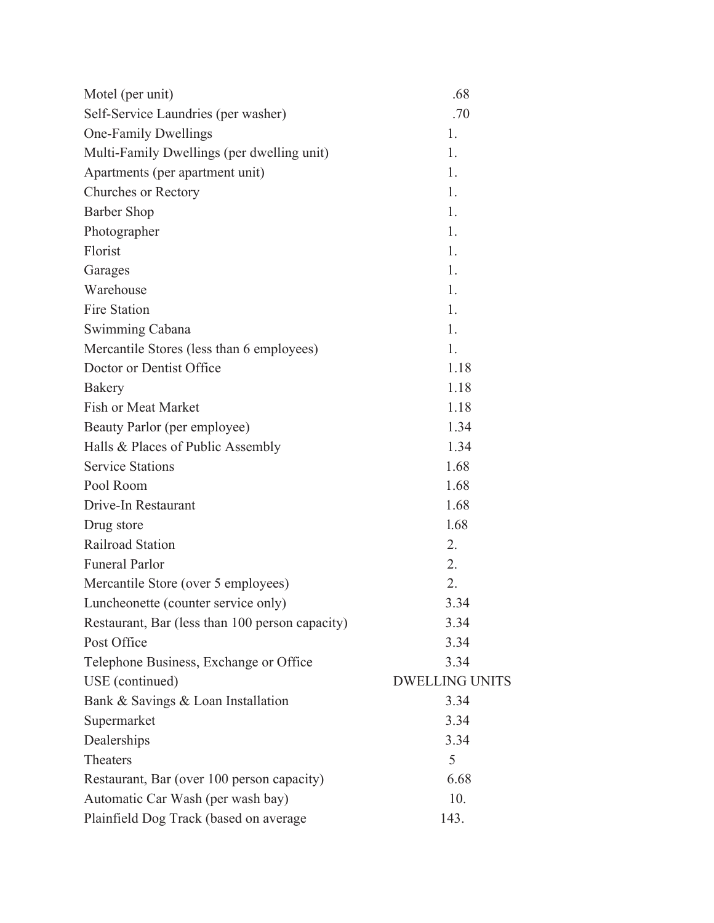| Motel (per unit)                                | .68                   |
|-------------------------------------------------|-----------------------|
| Self-Service Laundries (per washer)             | .70                   |
| <b>One-Family Dwellings</b>                     | 1.                    |
| Multi-Family Dwellings (per dwelling unit)      | 1.                    |
| Apartments (per apartment unit)                 | 1.                    |
| <b>Churches or Rectory</b>                      | 1.                    |
| <b>Barber Shop</b>                              | 1.                    |
| Photographer                                    | 1.                    |
| Florist                                         | 1.                    |
| Garages                                         | 1.                    |
| Warehouse                                       | 1.                    |
| <b>Fire Station</b>                             | 1.                    |
| Swimming Cabana                                 | 1.                    |
| Mercantile Stores (less than 6 employees)       | 1.                    |
| Doctor or Dentist Office                        | 1.18                  |
| Bakery                                          | 1.18                  |
| <b>Fish or Meat Market</b>                      | 1.18                  |
| Beauty Parlor (per employee)                    | 1.34                  |
| Halls & Places of Public Assembly               | 1.34                  |
| <b>Service Stations</b>                         | 1.68                  |
| Pool Room                                       | 1.68                  |
| Drive-In Restaurant                             | 1.68                  |
| Drug store                                      | 1.68                  |
| Railroad Station                                | 2.                    |
| <b>Funeral Parlor</b>                           | 2.                    |
| Mercantile Store (over 5 employees)             | 2.                    |
| Luncheonette (counter service only)             | 3.34                  |
| Restaurant, Bar (less than 100 person capacity) | 3.34                  |
| Post Office                                     | 3.34                  |
| Telephone Business, Exchange or Office          | 3.34                  |
| USE (continued)                                 | <b>DWELLING UNITS</b> |
| Bank & Savings & Loan Installation              | 3.34                  |
| Supermarket                                     | 3.34                  |
| Dealerships                                     | 3.34                  |
| Theaters                                        | 5                     |
| Restaurant, Bar (over 100 person capacity)      | 6.68                  |
| Automatic Car Wash (per wash bay)               | 10.                   |
| Plainfield Dog Track (based on average          | 143.                  |